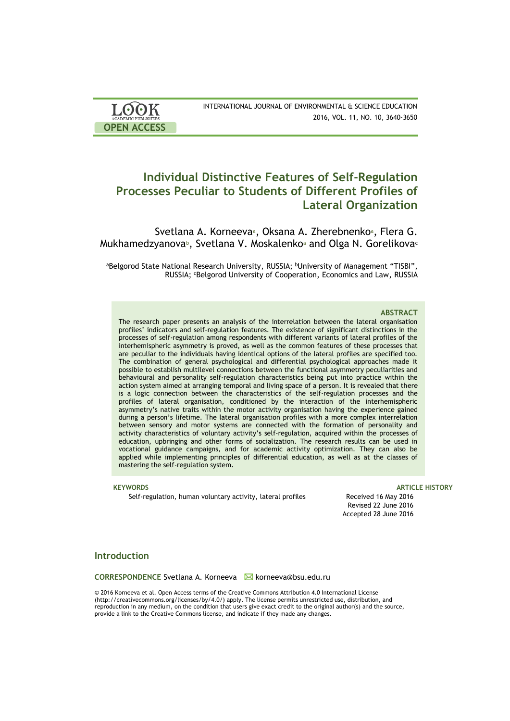| <b>LOOK</b><br><b>ACADEMIC PUBLISHERS</b> | INTERNATIONAL JOURNAL OF ENVIRONMENTAL & SCIENCE EDUCATION<br>2016, VOL. 11, NO. 10, 3640-3650 |
|-------------------------------------------|------------------------------------------------------------------------------------------------|
| <b>OPEN ACCESS</b>                        |                                                                                                |

# **Individual Distinctive Features of Self-Regulation Processes Peculiar to Students of Different Profiles of Lateral Organization**

Svetlana A. Korneeva<sup>a</sup>, Oksana A. Zherebnenko<sup>a</sup>, Flera G. Mukhamedzyanova<sup>b</sup>, Svetlana V. Moskalenkoa and Olga N. Gorelikova<sup>c</sup>

<sup>a</sup>Belgorod State National Research University, RUSSIA; bUniversity of Management "TISBI", RUSSIA; <sup>c</sup>Belgorod University of Cooperation, Economics and Law, RUSSIA

#### **ABSTRACT**

The research paper presents an analysis of the interrelation between the lateral organisation profiles' indicators and self-regulation features. The existence of significant distinctions in the processes of self-regulation among respondents with different variants of lateral profiles of the interhemispheric asymmetry is proved, as well as the common features of these processes that are peculiar to the individuals having identical options of the lateral profiles are specified too. The combination of general psychological and differential psychological approaches made it possible to establish multilevel connections between the functional asymmetry peculiarities and behavioural and personality self-regulation characteristics being put into practice within the action system aimed at arranging temporal and living space of a person. It is revealed that there is a logic connection between the characteristics of the self-regulation processes and the profiles of lateral organisation, conditioned by the interaction of the interhemispheric asymmetry's native traits within the motor activity organisation having the experience gained during a person's lifetime. The lateral organisation profiles with a more complex interrelation between sensory and motor systems are connected with the formation of personality and activity characteristics of voluntary activity's self-regulation, acquired within the processes of education, upbringing and other forms of socialization. The research results can be used in vocational guidance campaigns, and for academic activity optimization. They can also be applied while implementing principles of differential education, as well as at the classes of mastering the self-regulation system.

Self-regulation, human voluntary activity, lateral profiles Received 16 May 2016

#### **KEYWORDS** ARTICLE HISTORY **ARTICLE** AND A RESERVE AND A RESERVE AND A RESERVE ASSAULT A RESERVE AND A RESERVE ASSAULT A RESERVE A RESERVE A RESERVE A RESERVE A RESERVE A RESERVE A RESERVE A RESERVE A RESERVE A RESERVE A R

Revised 22 June 2016 Accepted 28 June 2016

#### **Introduction**

CORRESPONDENCE Svetlana A. Korneeva **M** korneeva@bsu.edu.ru

© 2016 Korneeva et al. Open Access terms of the Creative Commons Attribution 4.0 International License (http://creativecommons.org/licenses/by/4.0/) apply. The license permits unrestricted use, distribution, and reproduction in any medium, on the condition that users give exact credit to the original author(s) and the source, provide a link to the Creative Commons license, and indicate if they made any changes.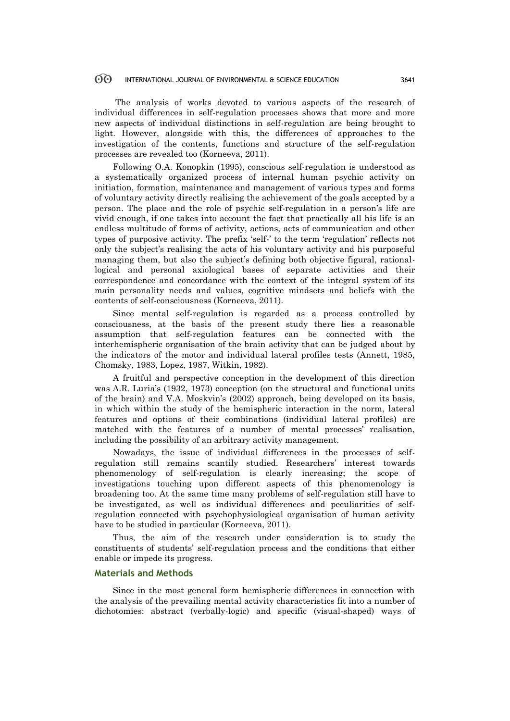#### 60 INTERNATIONAL JOURNAL OF ENVIRONMENTAL & SCIENCE EDUCATION 3641

The analysis of works devoted to various aspects of the research of individual differences in self-regulation processes shows that more and more new aspects of individual distinctions in self-regulation are being brought to light. However, alongside with this, the differences of approaches to the investigation of the contents, functions and structure of the self-regulation processes are revealed too (Korneeva, 2011).

Following O.A. Konopkin (1995), conscious self-regulation is understood as a systematically organized process of internal human psychic activity on initiation, formation, maintenance and management of various types and forms of voluntary activity directly realising the achievement of the goals accepted by a person. The place and the role of psychic self-regulation in a person's life are vivid enough, if one takes into account the fact that practically all his life is an endless multitude of forms of activity, actions, acts of communication and other types of purposive activity. The prefix 'self-' to the term 'regulation' reflects not only the subject's realising the acts of his voluntary activity and his purposeful managing them, but also the subject's defining both objective figural, rationallogical and personal axiological bases of separate activities and their correspondence and concordance with the context of the integral system of its main personality needs and values, cognitive mindsets and beliefs with the contents of self-consciousness (Korneeva, 2011).

Since mental self-regulation is regarded as a process controlled by consciousness, at the basis of the present study there lies a reasonable assumption that self-regulation features can be connected with the interhemispheric organisation of the brain activity that can be judged about by the indicators of the motor and individual lateral profiles tests (Annett, 1985, Chomsky, 1983, Lopez, 1987, Witkin, 1982).

A fruitful and perspective conception in the development of this direction was A.R. Luria's (1932, 1973) conception (on the structural and functional units of the brain) and V.A. Moskvin's (2002) approach, being developed on its basis, in which within the study of the hemispheric interaction in the norm, lateral features and options of their combinations (individual lateral profiles) are matched with the features of a number of mental processes' realisation, including the possibility of an arbitrary activity management.

Nowadays, the issue of individual differences in the processes of selfregulation still remains scantily studied. Researchers' interest towards phenomenology of self-regulation is clearly increasing; the scope of investigations touching upon different aspects of this phenomenology is broadening too. At the same time many problems of self-regulation still have to be investigated, as well as individual differences and peculiarities of selfregulation connected with psychophysiological organisation of human activity have to be studied in particular (Korneeva, 2011).

Thus, the aim of the research under consideration is to study the constituents of students' self-regulation process and the conditions that either enable or impede its progress.

### **Materials and Methods**

Since in the most general form hemispheric differences in connection with the analysis of the prevailing mental activity characteristics fit into a number of dichotomies: abstract (verbally-logic) and specific (visual-shaped) ways of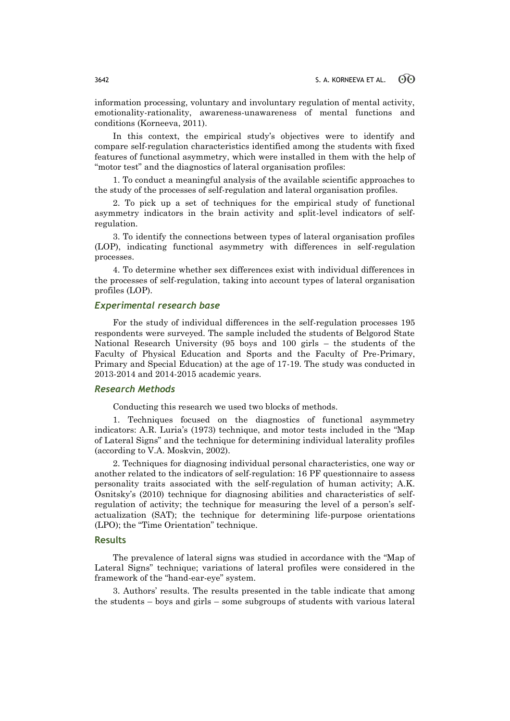information processing, voluntary and involuntary regulation of mental activity, emotionality-rationality, awareness-unawareness of mental functions and conditions (Korneeva, 2011).

In this context, the empirical study's objectives were to identify and compare self-regulation characteristics identified among the students with fixed features of functional asymmetry, which were installed in them with the help of "motor test" and the diagnostics of lateral organisation profiles:

1. To conduct a meaningful analysis of the available scientific approaches to the study of the processes of self-regulation and lateral organisation profiles.

2. To pick up a set of techniques for the empirical study of functional asymmetry indicators in the brain activity and split-level indicators of selfregulation.

3. To identify the connections between types of lateral organisation profiles (LOP), indicating functional asymmetry with differences in self-regulation processes.

4. To determine whether sex differences exist with individual differences in the processes of self-regulation, taking into account types of lateral organisation profiles (LOP).

### *Experimental research base*

For the study of individual differences in the self-regulation processes 195 respondents were surveyed. The sample included the students of Belgorod State National Research University (95 boys and 100 girls – the students of the Faculty of Physical Education and Sports and the Faculty of Pre-Primary, Primary and Special Education) at the age of 17-19. The study was conducted in 2013-2014 and 2014-2015 academic years.

## *Research Methods*

Conducting this research we used two blocks of methods.

1. Techniques focused on the diagnostics of functional asymmetry indicators: A.R. Luria's (1973) technique, and motor tests included in the "Map of Lateral Signs" and the technique for determining individual laterality profiles (according to V.A. Moskvin, 2002).

2. Techniques for diagnosing individual personal characteristics, one way or another related to the indicators of self-regulation: 16 PF questionnaire to assess personality traits associated with the self-regulation of human activity; A.K. Osnitsky's (2010) technique for diagnosing abilities and characteristics of selfregulation of activity; the technique for measuring the level of a person's selfactualization (SAT); the technique for determining life-purpose orientations (LPO); the "Time Orientation" technique.

### **Results**

The prevalence of lateral signs was studied in accordance with the "Map of Lateral Signs" technique; variations of lateral profiles were considered in the framework of the "hand-ear-eye" system.

3. Authors' results. The results presented in the table indicate that among the students – boys and girls – some subgroups of students with various lateral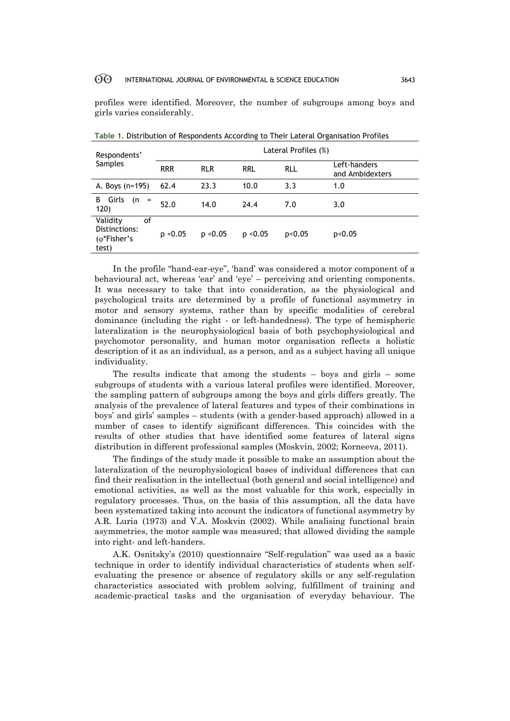#### 60 INTERNATIONAL JOURNAL OF ENVIRONMENTAL & SCIENCE EDUCATION 3643

profiles were identified. Moreover, the number of subgroups among boys and girls varies considerably.

| Respondents'                                                      | Lateral Profiles (%) |              |            |            |                                 |  |  |
|-------------------------------------------------------------------|----------------------|--------------|------------|------------|---------------------------------|--|--|
| <b>Samples</b>                                                    | <b>RRR</b>           | <b>RLR</b>   | <b>RRL</b> | <b>RLL</b> | Left-handers<br>and Ambidexters |  |  |
| A. Boys (n=195)                                                   | 62.4                 | 23.3         | 10.0       | 3.3        | 1.0                             |  |  |
| Girls<br>В<br>(n<br>$=$<br>120)                                   | 52.0                 | 14.0         | 24.4       | 7.0        | 3.0                             |  |  |
| Validity<br>οf<br>Distinctions:<br>$(\varphi^*$ Fisher's<br>test) | p < 0.05             | $p \le 0.05$ | p < 0.05   | p<0.05     | p<0.05                          |  |  |

**Table 1.** Distribution of Respondents According to Their Lateral Organisation Profiles

In the profile "hand-ear-eye", 'hand' was considered a motor component of a behavioural act, whereas 'ear' and 'eye' – perceiving and orienting components. It was necessary to take that into consideration, as the physiological and psychological traits are determined by a profile of functional asymmetry in motor and sensory systems, rather than by specific modalities of cerebral dominance (including the right - or left-handedness). The type of hemispheric lateralization is the neurophysiological basis of both psychophysiological and psychomotor personality, and human motor organisation reflects a holistic description of it as an individual, as a person, and as a subject having all unique individuality.

The results indicate that among the students  $-$  boys and girls  $-$  some subgroups of students with a various lateral profiles were identified. Moreover, the sampling pattern of subgroups among the boys and girls differs greatly. The analysis of the prevalence of lateral features and types of their combinations in boys' and girls' samples – students (with a gender-based approach) allowed in a number of cases to identify significant differences. This coincides with the results of other studies that have identified some features of lateral signs distribution in different professional samples (Moskvin, 2002; Korneeva, 2011).

The findings of the study made it possible to make an assumption about the lateralization of the neurophysiological bases of individual differences that can find their realisation in the intellectual (both general and social intelligence) and emotional activities, as well as the most valuable for this work, especially in regulatory processes. Thus, on the basis of this assumption, all the data have been systematized taking into account the indicators of functional asymmetry by A.R. Luria (1973) and V.A. Moskvin (2002). While analising functional brain asymmetries, the motor sample was measured; that allowed dividing the sample into right- and left-handers.

A.K. Osnitsky's (2010) questionnaire "Self-regulation" was used as a basic technique in order to identify individual characteristics of students when selfevaluating the presence or absence of regulatory skills or any self-regulation characteristics associated with problem solving, fulfillment of training and academic-practical tasks and the organisation of everyday behaviour. The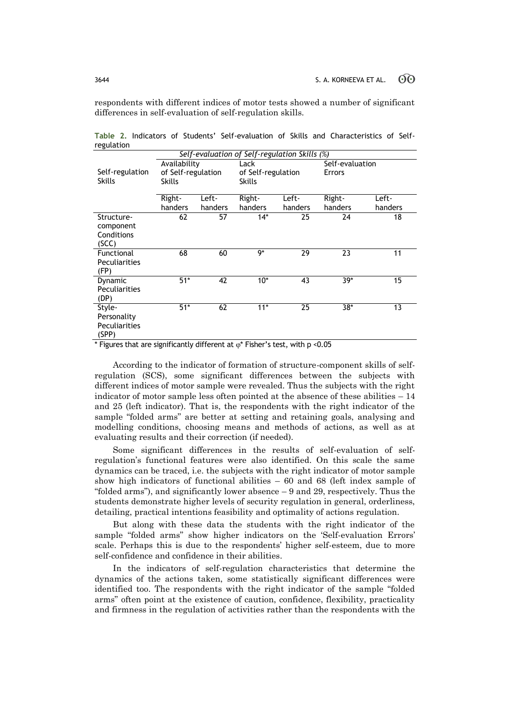respondents with different indices of motor tests showed a number of significant differences in self-evaluation of self-regulation skills.

| Self-evaluation of Self-regulation Skills (%) |                    |         |                    |         |                 |         |  |  |
|-----------------------------------------------|--------------------|---------|--------------------|---------|-----------------|---------|--|--|
|                                               | Availability       |         | Lack               |         | Self-evaluation |         |  |  |
| Self-regulation                               | of Self-regulation |         | of Self-regulation |         | <b>Errors</b>   |         |  |  |
| <b>Skills</b>                                 | <b>Skills</b>      |         | Skills             |         |                 |         |  |  |
|                                               |                    |         |                    |         |                 |         |  |  |
|                                               | Right-             | Left-   | Right-             | Left-   | Right-          | Left-   |  |  |
|                                               | handers            | handers | handers            | handers | handers         | handers |  |  |
| Structure-                                    | 62                 | 57      | $14*$              | 25      | 24              | 18      |  |  |
| component                                     |                    |         |                    |         |                 |         |  |  |
| Conditions                                    |                    |         |                    |         |                 |         |  |  |
| (SCC)                                         |                    |         |                    |         |                 |         |  |  |
| Functional                                    | 68                 | 60      | 9*                 | 29      | 23              | 11      |  |  |
| <b>Peculiarities</b>                          |                    |         |                    |         |                 |         |  |  |
| (FP)                                          |                    |         |                    |         |                 |         |  |  |
| Dynamic                                       | $51*$              | 42      | $10*$              | 43      | $39*$           | 15      |  |  |
| Peculiarities                                 |                    |         |                    |         |                 |         |  |  |
| (DP)                                          |                    |         |                    |         |                 |         |  |  |
| Style-                                        | $51*$              | 62      | $11*$              | 25      | $38*$           | 13      |  |  |
| Personality                                   |                    |         |                    |         |                 |         |  |  |
| <b>Peculiarities</b>                          |                    |         |                    |         |                 |         |  |  |
| (SPP)                                         |                    |         |                    |         |                 |         |  |  |

**Table 2.** Indicators of Students' Self-evaluation of Skills and Characteristics of Selfregulation

\* Figures that are significantly different at  $\varphi^*$  Fisher's test, with p <0.05

According to the indicator of formation of structure-component skills of selfregulation (SCS), some significant differences between the subjects with different indices of motor sample were revealed. Thus the subjects with the right indicator of motor sample less often pointed at the absence of these abilities  $-14$ and 25 (left indicator). That is, the respondents with the right indicator of the sample "folded arms" are better at setting and retaining goals, analysing and modelling conditions, choosing means and methods of actions, as well as at evaluating results and their correction (if needed).

Some significant differences in the results of self-evaluation of selfregulation's functional features were also identified. On this scale the same dynamics can be traced, i.e. the subjects with the right indicator of motor sample show high indicators of functional abilities – 60 and 68 (left index sample of "folded arms"), and significantly lower absence – 9 and 29, respectively. Thus the students demonstrate higher levels of security regulation in general, orderliness, detailing, practical intentions feasibility and optimality of actions regulation.

But along with these data the students with the right indicator of the sample "folded arms" show higher indicators on the 'Self-evaluation Errors' scale. Perhaps this is due to the respondents' higher self-esteem, due to more self-confidence and confidence in their abilities.

In the indicators of self-regulation characteristics that determine the dynamics of the actions taken, some statistically significant differences were identified too. The respondents with the right indicator of the sample "folded arms" often point at the existence of caution, confidence, flexibility, practicality and firmness in the regulation of activities rather than the respondents with the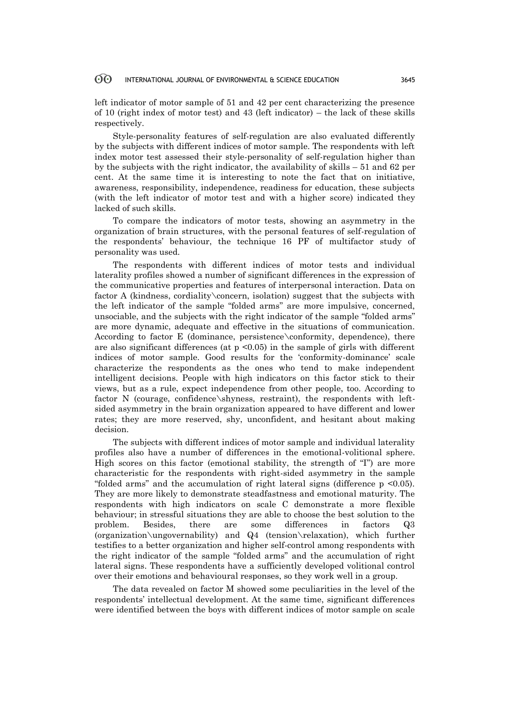#### 60 INTERNATIONAL JOURNAL OF ENVIRONMENTAL & SCIENCE EDUCATION 3645

left indicator of motor sample of 51 and 42 per cent characterizing the presence of 10 (right index of motor test) and 43 (left indicator) – the lack of these skills respectively.

Style-personality features of self-regulation are also evaluated differently by the subjects with different indices of motor sample. The respondents with left index motor test assessed their style-personality of self-regulation higher than by the subjects with the right indicator, the availability of skills – 51 and 62 per cent. At the same time it is interesting to note the fact that on initiative, awareness, responsibility, independence, readiness for education, these subjects (with the left indicator of motor test and with a higher score) indicated they lacked of such skills.

To compare the indicators of motor tests, showing an asymmetry in the organization of brain structures, with the personal features of self-regulation of the respondents' behaviour, the technique 16 PF of multifactor study of personality was used.

The respondents with different indices of motor tests and individual laterality profiles showed a number of significant differences in the expression of the communicative properties and features of interpersonal interaction. Data on factor A (kindness, cordiality\concern, isolation) suggest that the subjects with the left indicator of the sample "folded arms" are more impulsive, concerned, unsociable, and the subjects with the right indicator of the sample "folded arms" are more dynamic, adequate and effective in the situations of communication. According to factor E (dominance, persistence\conformity, dependence), there are also significant differences (at  $p \leq 0.05$ ) in the sample of girls with different indices of motor sample. Good results for the 'conformity-dominance' scale characterize the respondents as the ones who tend to make independent intelligent decisions. People with high indicators on this factor stick to their views, but as a rule, expect independence from other people, too. According to factor N (courage, confidence\shyness, restraint), the respondents with leftsided asymmetry in the brain organization appeared to have different and lower rates; they are more reserved, shy, unconfident, and hesitant about making decision.

The subjects with different indices of motor sample and individual laterality profiles also have a number of differences in the emotional-volitional sphere. High scores on this factor (emotional stability, the strength of "I") are more characteristic for the respondents with right-sided asymmetry in the sample "folded arms" and the accumulation of right lateral signs (difference p <0.05). They are more likely to demonstrate steadfastness and emotional maturity. The respondents with high indicators on scale C demonstrate a more flexible behaviour; in stressful situations they are able to choose the best solution to the problem. Besides, there are some differences in factors Q3 (organization\ungovernability) and Q4 (tension\relaxation), which further testifies to a better organization and higher self-control among respondents with the right indicator of the sample "folded arms" and the accumulation of right lateral signs. These respondents have a sufficiently developed volitional control over their emotions and behavioural responses, so they work well in a group.

The data revealed on factor M showed some peculiarities in the level of the respondents' intellectual development. At the same time, significant differences were identified between the boys with different indices of motor sample on scale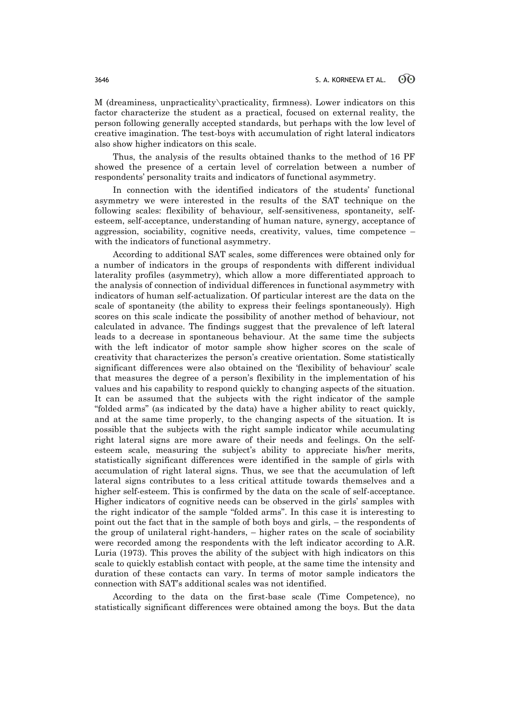M (dreaminess, unpracticality\practicality, firmness). Lower indicators on this factor characterize the student as a practical, focused on external reality, the person following generally accepted standards, but perhaps with the low level of creative imagination. The test-boys with accumulation of right lateral indicators also show higher indicators on this scale.

Thus, the analysis of the results obtained thanks to the method of 16 PF showed the presence of a certain level of correlation between a number of respondents' personality traits and indicators of functional asymmetry.

In connection with the identified indicators of the students' functional asymmetry we were interested in the results of the SAT technique on the following scales: flexibility of behaviour, self-sensitiveness, spontaneity, selfesteem, self-acceptance, understanding of human nature, synergy, acceptance of aggression, sociability, cognitive needs, creativity, values, time competence – with the indicators of functional asymmetry.

According to additional SAT scales, some differences were obtained only for a number of indicators in the groups of respondents with different individual laterality profiles (asymmetry), which allow a more differentiated approach to the analysis of connection of individual differences in functional asymmetry with indicators of human self-actualization. Of particular interest are the data on the scale of spontaneity (the ability to express their feelings spontaneously). High scores on this scale indicate the possibility of another method of behaviour, not calculated in advance. The findings suggest that the prevalence of left lateral leads to a decrease in spontaneous behaviour. At the same time the subjects with the left indicator of motor sample show higher scores on the scale of creativity that characterizes the person's creative orientation. Some statistically significant differences were also obtained on the 'flexibility of behaviour' scale that measures the degree of a person's flexibility in the implementation of his values and his capability to respond quickly to changing aspects of the situation. It can be assumed that the subjects with the right indicator of the sample "folded arms" (as indicated by the data) have a higher ability to react quickly, and at the same time properly, to the changing aspects of the situation. It is possible that the subjects with the right sample indicator while accumulating right lateral signs are more aware of their needs and feelings. On the selfesteem scale, measuring the subject's ability to appreciate his/her merits, statistically significant differences were identified in the sample of girls with accumulation of right lateral signs. Thus, we see that the accumulation of left lateral signs contributes to a less critical attitude towards themselves and a higher self-esteem. This is confirmed by the data on the scale of self-acceptance. Higher indicators of cognitive needs can be observed in the girls' samples with the right indicator of the sample "folded arms". In this case it is interesting to point out the fact that in the sample of both boys and girls, – the respondents of the group of unilateral right-handers, – higher rates on the scale of sociability were recorded among the respondents with the left indicator according to A.R. Luria (1973). This proves the ability of the subject with high indicators on this scale to quickly establish contact with people, at the same time the intensity and duration of these contacts can vary. In terms of motor sample indicators the connection with SAT's additional scales was not identified.

According to the data on the first-base scale (Time Competence), no statistically significant differences were obtained among the boys. But the data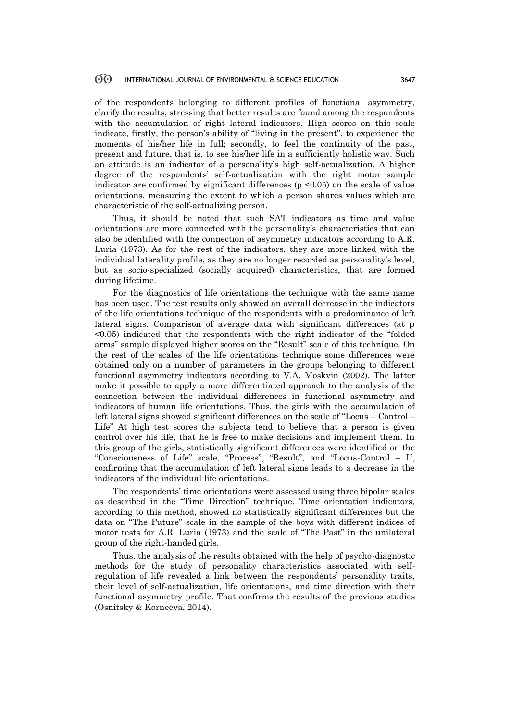#### $60^{\circ}$ INTERNATIONAL JOURNAL OF ENVIRONMENTAL & SCIENCE EDUCATION 3647

of the respondents belonging to different profiles of functional asymmetry, clarify the results, stressing that better results are found among the respondents with the accumulation of right lateral indicators. High scores on this scale indicate, firstly, the person's ability of "living in the present", to experience the moments of his/her life in full; secondly, to feel the continuity of the past, present and future, that is, to see his/her life in a sufficiently holistic way. Such an attitude is an indicator of a personality's high self-actualization. A higher degree of the respondents' self-actualization with the right motor sample indicator are confirmed by significant differences  $(p \le 0.05)$  on the scale of value orientations, measuring the extent to which a person shares values which are characteristic of the self-actualizing person.

Thus, it should be noted that such SAT indicators as time and value orientations are more connected with the personality's characteristics that can also be identified with the connection of asymmetry indicators according to A.R. Luria (1973). As for the rest of the indicators, they are more linked with the individual laterality profile, as they are no longer recorded as personality's level, but as socio-specialized (socially acquired) characteristics, that are formed during lifetime.

For the diagnostics of life orientations the technique with the same name has been used. The test results only showed an overall decrease in the indicators of the life orientations technique of the respondents with a predominance of left lateral signs. Comparison of average data with significant differences (at p <0.05) indicated that the respondents with the right indicator of the "folded arms" sample displayed higher scores on the "Result" scale of this technique. On the rest of the scales of the life orientations technique some differences were obtained only on a number of parameters in the groups belonging to different functional asymmetry indicators according to V.A. Moskvin (2002). The latter make it possible to apply a more differentiated approach to the analysis of the connection between the individual differences in functional asymmetry and indicators of human life orientations. Thus, the girls with the accumulation of left lateral signs showed significant differences on the scale of "Locus – Control – Life" At high test scores the subjects tend to believe that a person is given control over his life, that he is free to make decisions and implement them. In this group of the girls, statistically significant differences were identified on the "Consciousness of Life" scale, "Process", "Result", and "Locus-Control – I", confirming that the accumulation of left lateral signs leads to a decrease in the indicators of the individual life orientations.

The respondents' time orientations were assessed using three bipolar scales as described in the "Time Direction" technique. Time orientation indicators, according to this method, showed no statistically significant differences but the data on "The Future" scale in the sample of the boys with different indices of motor tests for A.R. Luria (1973) and the scale of "The Past" in the unilateral group of the right-handed girls.

Thus, the analysis of the results obtained with the help of psycho-diagnostic methods for the study of personality characteristics associated with selfregulation of life revealed a link between the respondents' personality traits, their level of self-actualization, life orientations, and time direction with their functional asymmetry profile. That confirms the results of the previous studies (Osnitsky & Korneeva, 2014).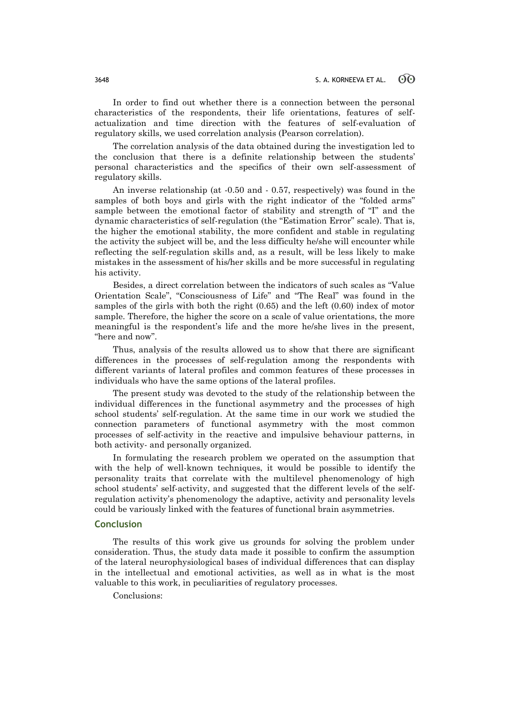In order to find out whether there is a connection between the personal characteristics of the respondents, their life orientations, features of selfactualization and time direction with the features of self-evaluation of regulatory skills, we used correlation analysis (Pearson correlation).

The correlation analysis of the data obtained during the investigation led to the conclusion that there is a definite relationship between the students' personal characteristics and the specifics of their own self-assessment of regulatory skills.

An inverse relationship (at -0.50 and - 0.57, respectively) was found in the samples of both boys and girls with the right indicator of the "folded arms" sample between the emotional factor of stability and strength of "I" and the dynamic characteristics of self-regulation (the "Estimation Error" scale). That is, the higher the emotional stability, the more confident and stable in regulating the activity the subject will be, and the less difficulty he/she will encounter while reflecting the self-regulation skills and, as a result, will be less likely to make mistakes in the assessment of his/her skills and be more successful in regulating his activity.

Besides, a direct correlation between the indicators of such scales as "Value Orientation Scale", "Consciousness of Life" and "The Real" was found in the samples of the girls with both the right (0.65) and the left (0.60) index of motor sample. Therefore, the higher the score on a scale of value orientations, the more meaningful is the respondent's life and the more he/she lives in the present, "here and now".

Thus, analysis of the results allowed us to show that there are significant differences in the processes of self-regulation among the respondents with different variants of lateral profiles and common features of these processes in individuals who have the same options of the lateral profiles.

The present study was devoted to the study of the relationship between the individual differences in the functional asymmetry and the processes of high school students' self-regulation. At the same time in our work we studied the connection parameters of functional asymmetry with the most common processes of self-activity in the reactive and impulsive behaviour patterns, in both activity- and personally organized.

In formulating the research problem we operated on the assumption that with the help of well-known techniques, it would be possible to identify the personality traits that correlate with the multilevel phenomenology of high school students' self-activity, and suggested that the different levels of the selfregulation activity's phenomenology the adaptive, activity and personality levels could be variously linked with the features of functional brain asymmetries.

### **Conclusion**

The results of this work give us grounds for solving the problem under consideration. Thus, the study data made it possible to confirm the assumption of the lateral neurophysiological bases of individual differences that can display in the intellectual and emotional activities, as well as in what is the most valuable to this work, in peculiarities of regulatory processes.

Conclusions: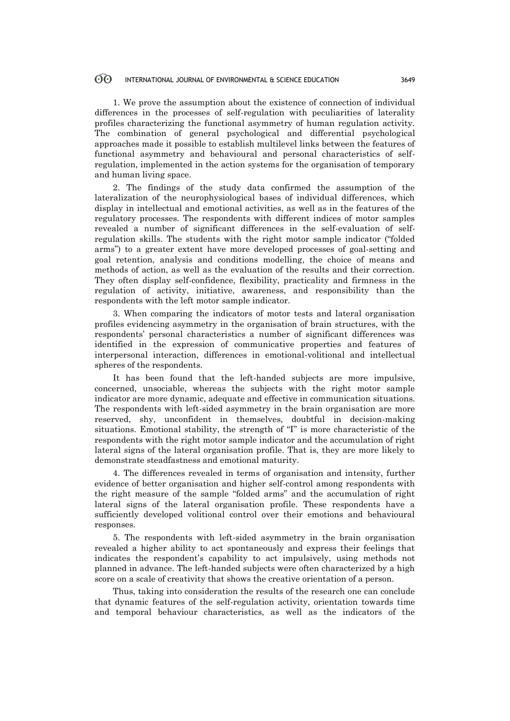1. We prove the assumption about the existence of connection of individual differences in the processes of self-regulation with peculiarities of laterality profiles characterizing the functional asymmetry of human regulation activity. The combination of general psychological and differential psychological approaches made it possible to establish multilevel links between the features of functional asymmetry and behavioural and personal characteristics of selfregulation, implemented in the action systems for the organisation of temporary and human living space.

2. The findings of the study data confirmed the assumption of the lateralization of the neurophysiological bases of individual differences, which display in intellectual and emotional activities, as well as in the features of the regulatory processes. The respondents with different indices of motor samples revealed a number of significant differences in the self-evaluation of selfregulation skills. The students with the right motor sample indicator ("folded arms") to a greater extent have more developed processes of goal-setting and goal retention, analysis and conditions modelling, the choice of means and methods of action, as well as the evaluation of the results and their correction. They often display self-confidence, flexibility, practicality and firmness in the regulation of activity, initiative, awareness, and responsibility than the respondents with the left motor sample indicator.

3. When comparing the indicators of motor tests and lateral organisation profiles evidencing asymmetry in the organisation of brain structures, with the respondents' personal characteristics a number of significant differences was identified in the expression of communicative properties and features of interpersonal interaction, differences in emotional-volitional and intellectual spheres of the respondents.

It has been found that the left-handed subjects are more impulsive, concerned, unsociable, whereas the subjects with the right motor sample indicator are more dynamic, adequate and effective in communication situations. The respondents with left-sided asymmetry in the brain organisation are more reserved, shy, unconfident in themselves, doubtful in decision-making situations. Emotional stability, the strength of "I" is more characteristic of the respondents with the right motor sample indicator and the accumulation of right lateral signs of the lateral organisation profile. That is, they are more likely to demonstrate steadfastness and emotional maturity.

4. The differences revealed in terms of organisation and intensity, further evidence of better organisation and higher self-control among respondents with the right measure of the sample "folded arms" and the accumulation of right lateral signs of the lateral organisation profile. These respondents have a sufficiently developed volitional control over their emotions and behavioural responses.

5. The respondents with left-sided asymmetry in the brain organisation revealed a higher ability to act spontaneously and express their feelings that indicates the respondent's capability to act impulsively, using methods not planned in advance. The left-handed subjects were often characterized by a high score on a scale of creativity that shows the creative orientation of a person.

Thus, taking into consideration the results of the research one can conclude that dynamic features of the self-regulation activity, orientation towards time and temporal behaviour characteristics, as well as the indicators of the